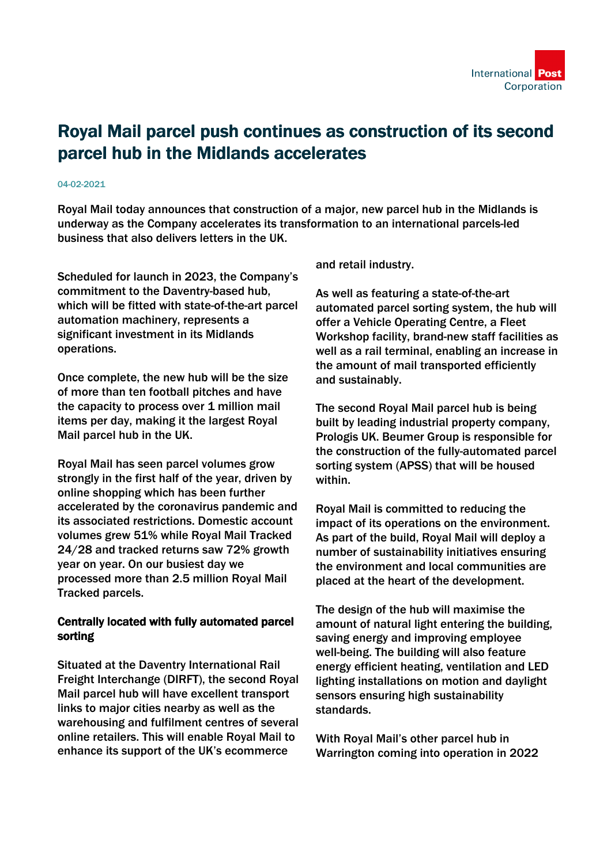

## Royal Mail parcel push continues as construction of its second parcel hub in the Midlands accelerates

## 04-02-2021

Royal Mail today announces that construction of a major, new parcel hub in the Midlands is underway as the Company accelerates its transformation to an international parcels-led business that also delivers letters in the UK.

Scheduled for launch in 2023, the Company's commitment to the Daventry-based hub, which will be fitted with state-of-the-art parcel automation machinery, represents a significant investment in its Midlands operations.

Once complete, the new hub will be the size of more than ten football pitches and have the capacity to process over 1 million mail items per day, making it the largest Royal Mail parcel hub in the UK.

Royal Mail has seen parcel volumes grow strongly in the first half of the year, driven by online shopping which has been further accelerated by the coronavirus pandemic and its associated restrictions. Domestic account volumes grew 51% while Royal Mail Tracked 24/28 and tracked returns saw 72% growth year on year. On our busiest day we processed more than 2.5 million Royal Mail Tracked parcels.

## Centrally located with fully automated parcel sorting

Situated at the Daventry International Rail Freight Interchange (DIRFT), the second Royal Mail parcel hub will have excellent transport links to major cities nearby as well as the warehousing and fulfilment centres of several online retailers. This will enable Royal Mail to enhance its support of the UK's ecommerce

and retail industry.

As well as featuring a state-of-the-art automated parcel sorting system, the hub will offer a Vehicle Operating Centre, a Fleet Workshop facility, brand-new staff facilities as well as a rail terminal, enabling an increase in the amount of mail transported efficiently and sustainably.

The second Royal Mail parcel hub is being built by leading industrial property company, Prologis UK. Beumer Group is responsible for the construction of the fully-automated parcel sorting system (APSS) that will be housed within.

Royal Mail is committed to reducing the impact of its operations on the environment. As part of the build, Royal Mail will deploy a number of sustainability initiatives ensuring the environment and local communities are placed at the heart of the development.

The design of the hub will maximise the amount of natural light entering the building, saving energy and improving employee well-being. The building will also feature energy efficient heating, ventilation and LED lighting installations on motion and daylight sensors ensuring high sustainability standards.

With Royal Mail's other parcel hub in Warrington coming into operation in 2022